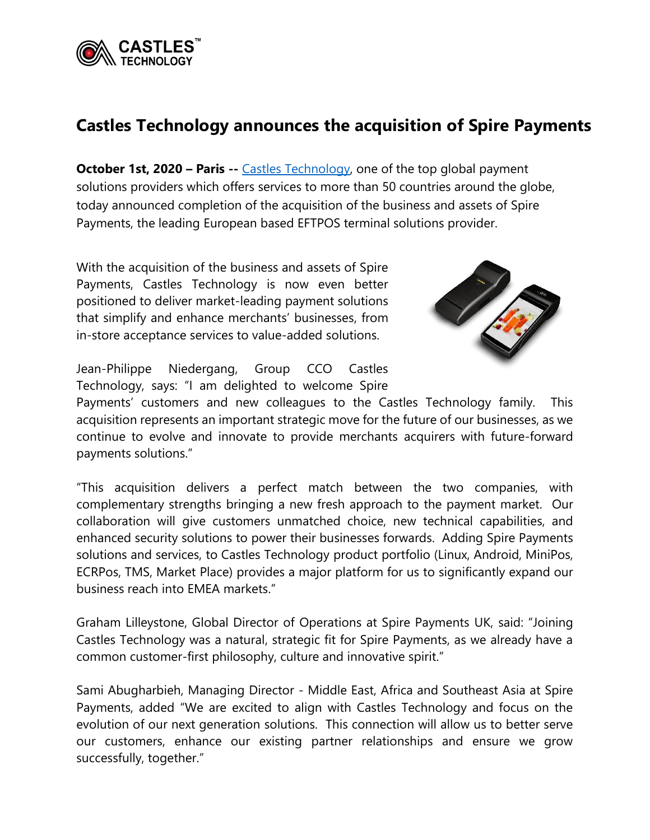

## **Castles Technology announces the acquisition of Spire Payments**

**October 1st, 2020 – Paris** -- [Castles Technology,](https://www.castlestech.com/) one of the top global payment solutions providers which offers services to more than 50 countries around the globe, today announced completion of the acquisition of the business and assets of Spire Payments, the leading European based EFTPOS terminal solutions provider.

With the acquisition of the business and assets of Spire Payments, Castles Technology is now even better positioned to deliver market-leading payment solutions that simplify and enhance merchants' businesses, from in-store acceptance services to value-added solutions.



Jean-Philippe Niedergang, Group CCO Castles Technology, says: "I am delighted to welcome Spire

Payments' customers and new colleagues to the Castles Technology family. This acquisition represents an important strategic move for the future of our businesses, as we continue to evolve and innovate to provide merchants acquirers with future-forward payments solutions."

"This acquisition delivers a perfect match between the two companies, with complementary strengths bringing a new fresh approach to the payment market. Our collaboration will give customers unmatched choice, new technical capabilities, and enhanced security solutions to power their businesses forwards. Adding Spire Payments solutions and services, to Castles Technology product portfolio (Linux, Android, MiniPos, ECRPos, TMS, Market Place) provides a major platform for us to significantly expand our business reach into EMEA markets."

Graham Lilleystone, Global Director of Operations at Spire Payments UK, said: "Joining Castles Technology was a natural, strategic fit for Spire Payments, as we already have a common customer-first philosophy, culture and innovative spirit."

Sami Abugharbieh, Managing Director - Middle East, Africa and Southeast Asia at Spire Payments, added "We are excited to align with Castles Technology and focus on the evolution of our next generation solutions. This connection will allow us to better serve our customers, enhance our existing partner relationships and ensure we grow successfully, together."